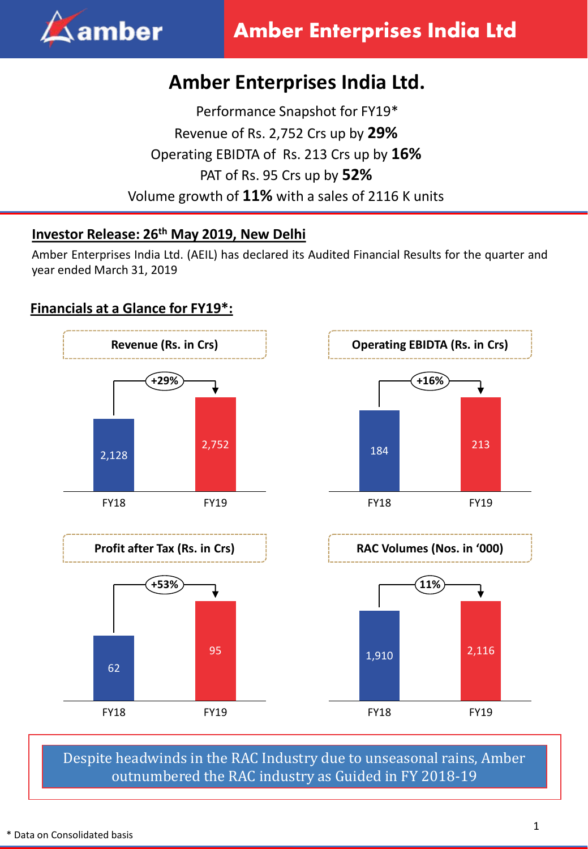

# **Amber Enterprises India Ltd.**

Performance Snapshot for FY19\* Revenue of Rs. 2,752 Crs up by **29%** Operating EBIDTA of Rs. 213 Crs up by **16%**  PAT of Rs. 95 Crs up by **52%** Volume growth of **11%** with a sales of 2116 K units

# **Investor Release: 26 th May 2019, New Delhi**

Amber Enterprises India Ltd. (AEIL) has declared its Audited Financial Results for the quarter and year ended March 31, 2019

# **Financials at a Glance for FY19\*:**



Despite headwinds in the RAC Industry due to unseasonal rains, Amber outnumbered the RAC industry as Guided in FY 2018-19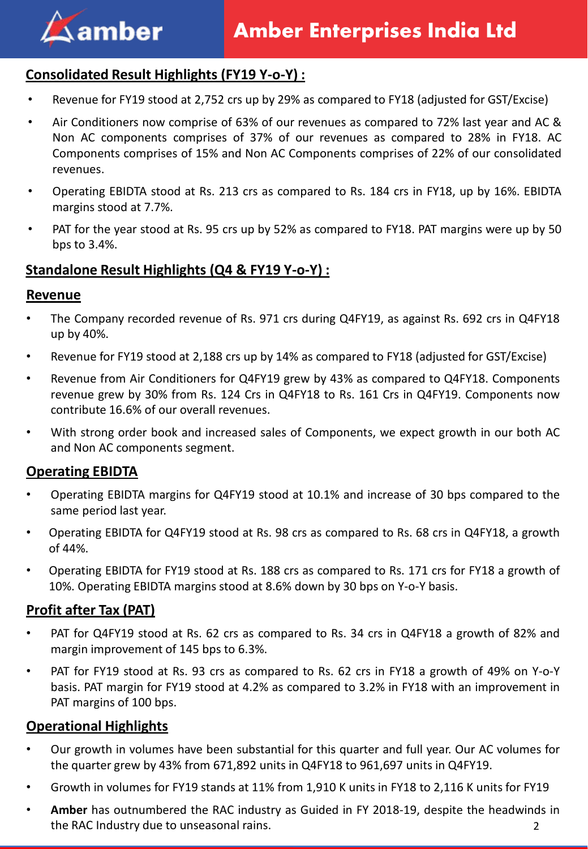

# **Consolidated Result Highlights (FY19 Y-o-Y) :**

- Revenue for FY19 stood at 2,752 crs up by 29% as compared to FY18 (adjusted for GST/Excise)
- Air Conditioners now comprise of 63% of our revenues as compared to 72% last year and AC & Non AC components comprises of 37% of our revenues as compared to 28% in FY18. AC Components comprises of 15% and Non AC Components comprises of 22% of our consolidated revenues.
- Operating EBIDTA stood at Rs. 213 crs as compared to Rs. 184 crs in FY18, up by 16%. EBIDTA margins stood at 7.7%.
- PAT for the year stood at Rs. 95 crs up by 52% as compared to FY18. PAT margins were up by 50 bps to 3.4%.

#### **Standalone Result Highlights (Q4 & FY19 Y-o-Y) :**

#### **Revenue**

- The Company recorded revenue of Rs. 971 crs during Q4FY19, as against Rs. 692 crs in Q4FY18 up by 40%.
- Revenue for FY19 stood at 2,188 crs up by 14% as compared to FY18 (adjusted for GST/Excise)
- Revenue from Air Conditioners for Q4FY19 grew by 43% as compared to Q4FY18. Components revenue grew by 30% from Rs. 124 Crs in Q4FY18 to Rs. 161 Crs in Q4FY19. Components now contribute 16.6% of our overall revenues.
- With strong order book and increased sales of Components, we expect growth in our both AC and Non AC components segment.

#### **Operating EBIDTA**

- Operating EBIDTA margins for Q4FY19 stood at 10.1% and increase of 30 bps compared to the same period last year.
- Operating EBIDTA for Q4FY19 stood at Rs. 98 crs as compared to Rs. 68 crs in Q4FY18, a growth of 44%.
- Operating EBIDTA for FY19 stood at Rs. 188 crs as compared to Rs. 171 crs for FY18 a growth of 10%. Operating EBIDTA margins stood at 8.6% down by 30 bps on Y-o-Y basis.

#### **Profit after Tax (PAT)**

- PAT for Q4FY19 stood at Rs. 62 crs as compared to Rs. 34 crs in Q4FY18 a growth of 82% and margin improvement of 145 bps to 6.3%.
- PAT for FY19 stood at Rs. 93 crs as compared to Rs. 62 crs in FY18 a growth of 49% on Y-o-Y basis. PAT margin for FY19 stood at 4.2% as compared to 3.2% in FY18 with an improvement in PAT margins of 100 bps.

#### **Operational Highlights**

- Our growth in volumes have been substantial for this quarter and full year. Our AC volumes for the quarter grew by 43% from 671,892 units in Q4FY18 to 961,697 units in Q4FY19.
- Growth in volumes for FY19 stands at 11% from 1,910 K units in FY18 to 2,116 K units for FY19
- **Amber** has outnumbered the RAC industry as Guided in FY 2018-19, despite the headwinds in the RAC Industry due to unseasonal rains. 2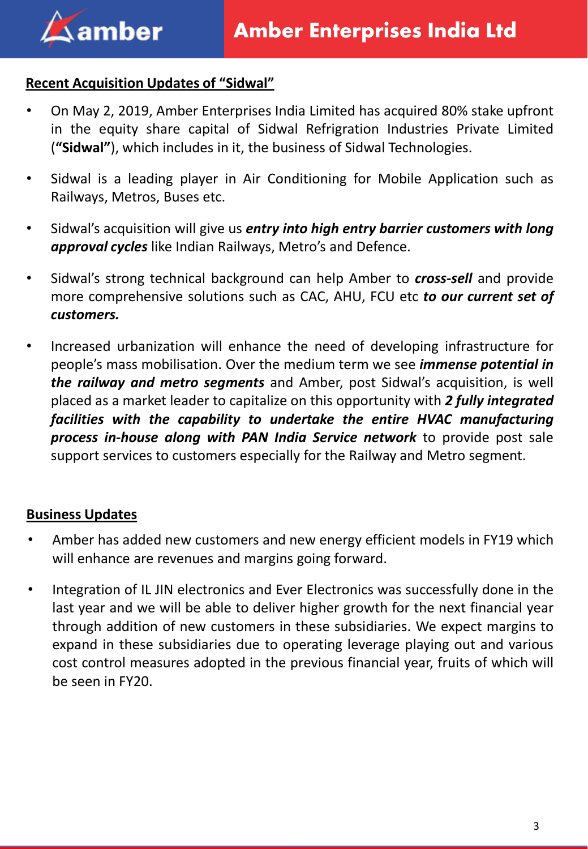# **Recent Acquisition Updates of "Sidwal"**

- On May 2, 2019, Amber Enterprises India Limited has acquired 80% stake upfront in the equity share capital of Sidwal Refrigration Industries Private Limited (**"Sidwal"**), which includes in it, the business of Sidwal Technologies.
- Sidwal is a leading player in Air Conditioning for Mobile Application such as Railways, Metros, Buses etc.
- Sidwal's acquisition will give us *entry into high entry barrier customers with long approval cycles* like Indian Railways, Metro's and Defence.
- Sidwal's strong technical background can help Amber to *cross-sell* and provide more comprehensive solutions such as CAC, AHU, FCU etc *to our current set of customers.*
- Increased urbanization will enhance the need of developing infrastructure for people's mass mobilisation. Over the medium term we see *immense potential in the railway and metro segments* and Amber, post Sidwal's acquisition, is well placed as a market leader to capitalize on this opportunity with *2 fully integrated facilities with the capability to undertake the entire HVAC manufacturing process in-house along with PAN India Service network* to provide post sale support services to customers especially for the Railway and Metro segment.

# **Business Updates**

- Amber has added new customers and new energy efficient models in FY19 which will enhance are revenues and margins going forward.
- Integration of IL JIN electronics and Ever Electronics was successfully done in the last year and we will be able to deliver higher growth for the next financial year through addition of new customers in these subsidiaries. We expect margins to expand in these subsidiaries due to operating leverage playing out and various cost control measures adopted in the previous financial year, fruits of which will be seen in FY20.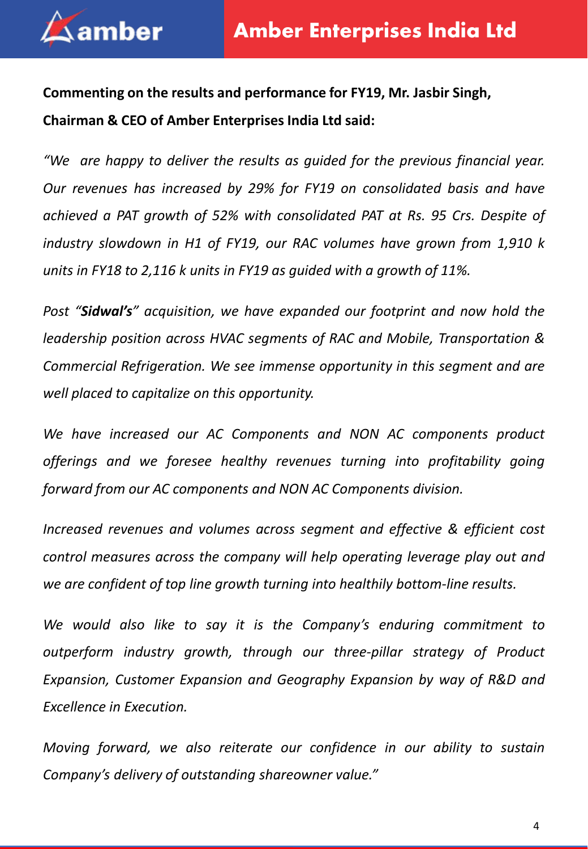

**Commenting on the results and performance for FY19, Mr. Jasbir Singh, Chairman & CEO of Amber Enterprises India Ltd said:**

*"We are happy to deliver the results as guided for the previous financial year. Our revenues has increased by 29% for FY19 on consolidated basis and have achieved a PAT growth of 52% with consolidated PAT at Rs. 95 Crs. Despite of industry slowdown in H1 of FY19, our RAC volumes have grown from 1,910 k units in FY18 to 2,116 k units in FY19 as guided with a growth of 11%.*

*Post "Sidwal's" acquisition, we have expanded our footprint and now hold the leadership position across HVAC segments of RAC and Mobile, Transportation & Commercial Refrigeration. We see immense opportunity in this segment and are well placed to capitalize on this opportunity.*

*We have increased our AC Components and NON AC components product offerings and we foresee healthy revenues turning into profitability going forward from our AC components and NON AC Components division.*

*Increased revenues and volumes across segment and effective & efficient cost control measures across the company will help operating leverage play out and we are confident of top line growth turning into healthily bottom-line results.*

*We would also like to say it is the Company's enduring commitment to outperform industry growth, through our three-pillar strategy of Product Expansion, Customer Expansion and Geography Expansion by way of R&D and Excellence in Execution.*

*Moving forward, we also reiterate our confidence in our ability to sustain Company's delivery of outstanding shareowner value."*